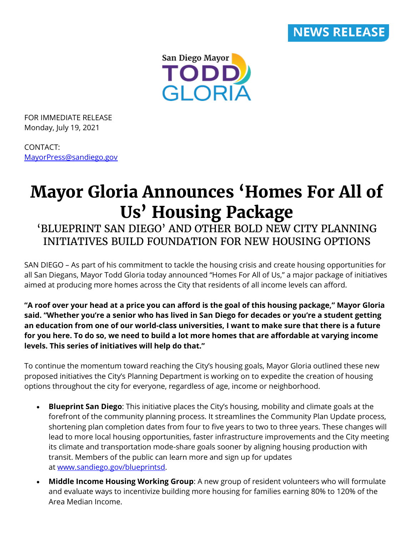

San Diego Mayor **TODD**<br>GLORIA

FOR IMMEDIATE RELEASE Monday, July 19, 2021

CONTACT: [MayorPress@sandiego.gov](mailto:MayorPress@sandiego.gov)

# **Mayor Gloria Announces 'Homes For All of Us' Housing Package**

# 'BLUEPRINT SAN DIEGO' AND OTHER BOLD NEW CITY PLANNING INITIATIVES BUILD FOUNDATION FOR NEW HOUSING OPTIONS

SAN DIEGO – As part of his commitment to tackle the housing crisis and create housing opportunities for all San Diegans, Mayor Todd Gloria today announced "Homes For All of Us," a major package of initiatives aimed at producing more homes across the City that residents of all income levels can afford.

**"A roof over your head at a price you can afford is the goal of this housing package," Mayor Gloria said. "Whether you're a senior who has lived in San Diego for decades or you're a student getting an education from one of our world-class universities, I want to make sure that there is a future for you here. To do so, we need to build a lot more homes that are affordable at varying income levels. This series of initiatives will help do that."**

To continue the momentum toward reaching the City's housing goals, Mayor Gloria outlined these new proposed initiatives the City's Planning Department is working on to expedite the creation of housing options throughout the city for everyone, regardless of age, income or neighborhood.

- **Blueprint San Diego**: This initiative places the City's housing, mobility and climate goals at the forefront of the community planning process. It streamlines the Community Plan Update process, shortening plan completion dates from four to five years to two to three years. These changes will lead to more local housing opportunities, faster infrastructure improvements and the City meeting its climate and transportation mode-share goals sooner by aligning housing production with transit. Members of the public can learn more and sign up for updates at [www.sandiego.gov/blueprintsd.](http://www.sandiego.gov/blueprint-sd)
- **Middle Income Housing Working Group**: A new group of resident volunteers who will formulate and evaluate ways to incentivize building more housing for families earning 80% to 120% of the Area Median Income.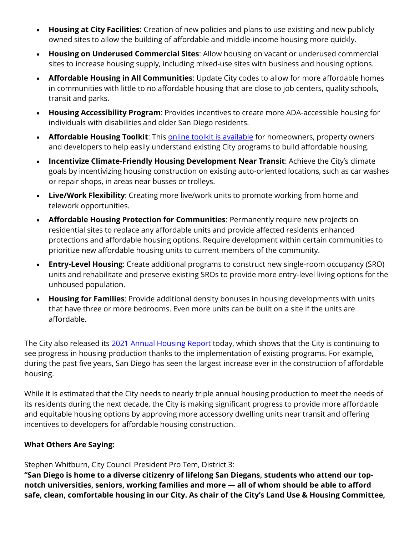- **Housing at City Facilities**: Creation of new policies and plans to use existing and new publicly owned sites to allow the building of affordable and middle-income housing more quickly.
- **Housing on Underused Commercial Sites**: Allow housing on vacant or underused commercial sites to increase housing supply, including mixed-use sites with business and housing options.
- **Affordable Housing in All Communities**: Update City codes to allow for more affordable homes in communities with little to no affordable housing that are close to job centers, quality schools, transit and parks.
- **Housing Accessibility Program**: Provides incentives to create more ADA-accessible housing for individuals with disabilities and older San Diego residents.
- **Affordable Housing Toolkit:** This **[online toolkit is available](https://www.sandiego.gov/planning/programs/housing/toolkit)** for homeowners, property owners and developers to help easily understand existing City programs to build affordable housing.
- **Incentivize Climate-Friendly Housing Development Near Transit**: Achieve the City's climate goals by incentivizing housing construction on existing auto-oriented locations, such as car washes or repair shops, in areas near busses or trolleys.
- **Live/Work Flexibility**: Creating more live/work units to promote working from home and telework opportunities.
- **Affordable Housing Protection for Communities**: Permanently require new projects on residential sites to replace any affordable units and provide affected residents enhanced protections and affordable housing options. Require development within certain communities to prioritize new affordable housing units to current members of the community.
- **Entry-Level Housing**: Create additional programs to construct new single-room occupancy (SRO) units and rehabilitate and preserve existing SROs to provide more entry-level living options for the unhoused population.
- **Housing for Families**: Provide additional density bonuses in housing developments with units that have three or more bedrooms. Even more units can be built on a site if the units are affordable.

The City also released its [2021 Annual Housing Report](https://www.sandiego.gov/sites/default/files/2021_housing_inventory_report.pdf) today, which shows that the City is continuing to see progress in housing production thanks to the implementation of existing programs. For example, during the past five years, San Diego has seen the largest increase ever in the construction of affordable housing.

While it is estimated that the City needs to nearly triple annual housing production to meet the needs of its residents during the next decade, the City is making significant progress to provide more affordable and equitable housing options by approving more accessory dwelling units near transit and offering incentives to developers for affordable housing construction.

# **What Others Are Saying:**

Stephen Whitburn, City Council President Pro Tem, District 3:

**"San Diego is home to a diverse citizenry of lifelong San Diegans, students who attend our topnotch universities, seniors, working families and more — all of whom should be able to afford safe, clean, comfortable housing in our City. As chair of the City's Land Use & Housing Committee,**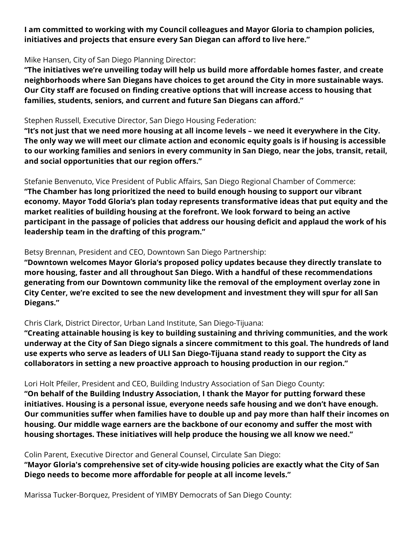**I am committed to working with my Council colleagues and Mayor Gloria to champion policies, initiatives and projects that ensure every San Diegan can afford to live here."**

#### Mike Hansen, City of San Diego Planning Director:

**"The initiatives we're unveiling today will help us build more affordable homes faster, and create neighborhoods where San Diegans have choices to get around the City in more sustainable ways. Our City staff are focused on finding creative options that will increase access to housing that families, students, seniors, and current and future San Diegans can afford."**

#### Stephen Russell, Executive Director, San Diego Housing Federation:

**"It's not just that we need more housing at all income levels – we need it everywhere in the City. The only way we will meet our climate action and economic equity goals is if housing is accessible to our working families and seniors in every community in San Diego, near the jobs, transit, retail, and social opportunities that our region offers."**

Stefanie Benvenuto, Vice President of Public Affairs, San Diego Regional Chamber of Commerce: **"The Chamber has long prioritized the need to build enough housing to support our vibrant economy. Mayor Todd Gloria's plan today represents transformative ideas that put equity and the market realities of building housing at the forefront. We look forward to being an active participant in the passage of policies that address our housing deficit and applaud the work of his leadership team in the drafting of this program."**

# Betsy Brennan, President and CEO, Downtown San Diego Partnership:

**"Downtown welcomes Mayor Gloria's proposed policy updates because they directly translate to more housing, faster and all throughout San Diego. With a handful of these recommendations generating from our Downtown community like the removal of the employment overlay zone in City Center, we're excited to see the new development and investment they will spur for all San Diegans."**

# Chris Clark, District Director, Urban Land Institute, San Diego-Tijuana:

**"Creating attainable housing is key to building sustaining and thriving communities, and the work underway at the City of San Diego signals a sincere commitment to this goal. The hundreds of land use experts who serve as leaders of ULI San Diego-Tijuana stand ready to support the City as collaborators in setting a new proactive approach to housing production in our region."**

# Lori Holt Pfeiler, President and CEO, Building Industry Association of San Diego County:

**"On behalf of the Building Industry Association, I thank the Mayor for putting forward these initiatives. Housing is a personal issue, everyone needs safe housing and we don't have enough. Our communities suffer when families have to double up and pay more than half their incomes on housing. Our middle wage earners are the backbone of our economy and suffer the most with housing shortages. These initiatives will help produce the housing we all know we need."**

Colin Parent, Executive Director and General Counsel, Circulate San Diego:

**"Mayor Gloria's comprehensive set of city-wide housing policies are exactly what the City of San Diego needs to become more affordable for people at all income levels."**

Marissa Tucker-Borquez, President of YIMBY Democrats of San Diego County: